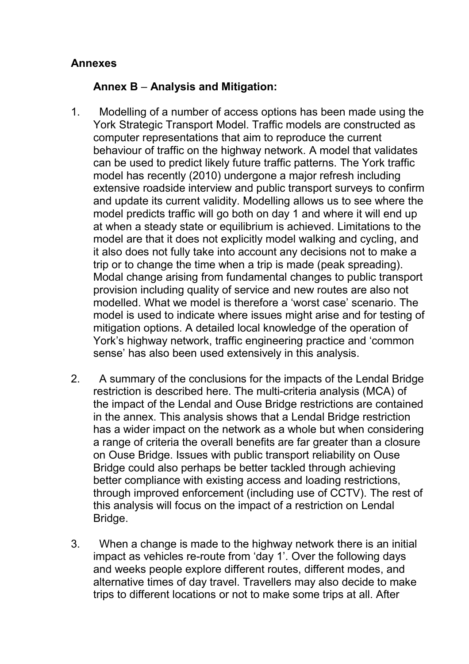## **Annexes**

## **Annex B** *–* **Analysis and Mitigation:**

- 1. Modelling of a number of access options has been made using the York Strategic Transport Model. Traffic models are constructed as computer representations that aim to reproduce the current behaviour of traffic on the highway network. A model that validates can be used to predict likely future traffic patterns. The York traffic model has recently (2010) undergone a major refresh including extensive roadside interview and public transport surveys to confirm and update its current validity. Modelling allows us to see where the model predicts traffic will go both on day 1 and where it will end up at when a steady state or equilibrium is achieved. Limitations to the model are that it does not explicitly model walking and cycling, and it also does not fully take into account any decisions not to make a trip or to change the time when a trip is made (peak spreading). Modal change arising from fundamental changes to public transport provision including quality of service and new routes are also not modelled. What we model is therefore a 'worst case' scenario. The model is used to indicate where issues might arise and for testing of mitigation options. A detailed local knowledge of the operation of York's highway network, traffic engineering practice and 'common sense' has also been used extensively in this analysis.
- 2. A summary of the conclusions for the impacts of the Lendal Bridge restriction is described here. The multi-criteria analysis (MCA) of the impact of the Lendal and Ouse Bridge restrictions are contained in the annex. This analysis shows that a Lendal Bridge restriction has a wider impact on the network as a whole but when considering a range of criteria the overall benefits are far greater than a closure on Ouse Bridge. Issues with public transport reliability on Ouse Bridge could also perhaps be better tackled through achieving better compliance with existing access and loading restrictions, through improved enforcement (including use of CCTV). The rest of this analysis will focus on the impact of a restriction on Lendal Bridge.
- 3. When a change is made to the highway network there is an initial impact as vehicles re-route from 'day 1'. Over the following days and weeks people explore different routes, different modes, and alternative times of day travel. Travellers may also decide to make trips to different locations or not to make some trips at all. After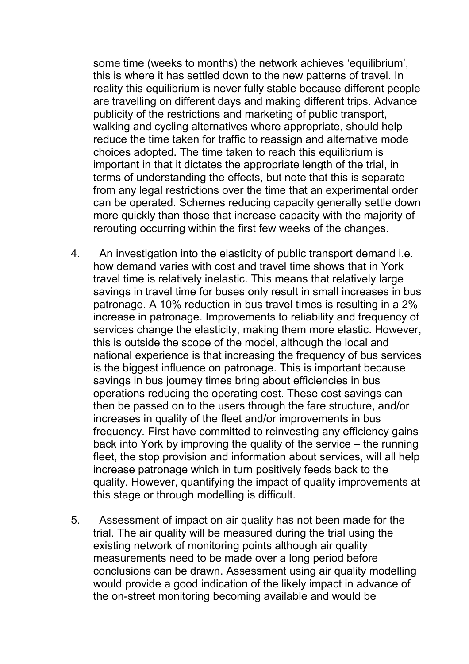some time (weeks to months) the network achieves 'equilibrium', this is where it has settled down to the new patterns of travel. In reality this equilibrium is never fully stable because different people are travelling on different days and making different trips. Advance publicity of the restrictions and marketing of public transport, walking and cycling alternatives where appropriate, should help reduce the time taken for traffic to reassign and alternative mode choices adopted. The time taken to reach this equilibrium is important in that it dictates the appropriate length of the trial, in terms of understanding the effects, but note that this is separate from any legal restrictions over the time that an experimental order can be operated. Schemes reducing capacity generally settle down more quickly than those that increase capacity with the majority of rerouting occurring within the first few weeks of the changes.

- 4. An investigation into the elasticity of public transport demand i.e. how demand varies with cost and travel time shows that in York travel time is relatively inelastic. This means that relatively large savings in travel time for buses only result in small increases in bus patronage. A 10% reduction in bus travel times is resulting in a 2% increase in patronage. Improvements to reliability and frequency of services change the elasticity, making them more elastic. However, this is outside the scope of the model, although the local and national experience is that increasing the frequency of bus services is the biggest influence on patronage. This is important because savings in bus journey times bring about efficiencies in bus operations reducing the operating cost. These cost savings can then be passed on to the users through the fare structure, and/or increases in quality of the fleet and/or improvements in bus frequency. First have committed to reinvesting any efficiency gains back into York by improving the quality of the service – the running fleet, the stop provision and information about services, will all help increase patronage which in turn positively feeds back to the quality. However, quantifying the impact of quality improvements at this stage or through modelling is difficult.
- 5. Assessment of impact on air quality has not been made for the trial. The air quality will be measured during the trial using the existing network of monitoring points although air quality measurements need to be made over a long period before conclusions can be drawn. Assessment using air quality modelling would provide a good indication of the likely impact in advance of the on-street monitoring becoming available and would be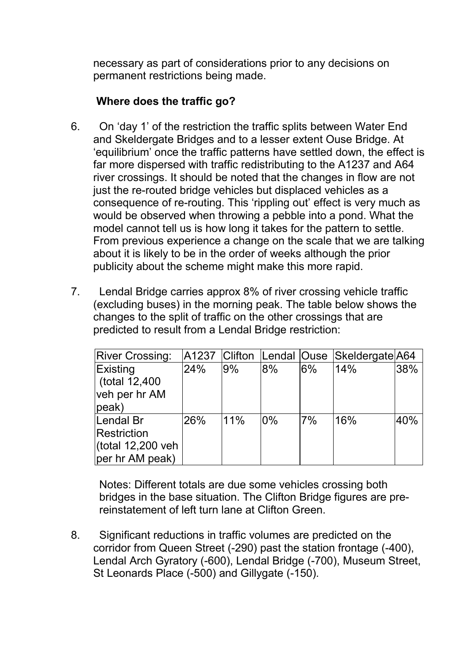necessary as part of considerations prior to any decisions on permanent restrictions being made.

## **Where does the traffic go?**

- 6. On 'day 1' of the restriction the traffic splits between Water End and Skeldergate Bridges and to a lesser extent Ouse Bridge. At 'equilibrium' once the traffic patterns have settled down, the effect is far more dispersed with traffic redistributing to the A1237 and A64 river crossings. It should be noted that the changes in flow are not just the re-routed bridge vehicles but displaced vehicles as a consequence of re-routing. This 'rippling out' effect is very much as would be observed when throwing a pebble into a pond. What the model cannot tell us is how long it takes for the pattern to settle. From previous experience a change on the scale that we are talking about it is likely to be in the order of weeks although the prior publicity about the scheme might make this more rapid.
- 7. Lendal Bridge carries approx 8% of river crossing vehicle traffic (excluding buses) in the morning peak. The table below shows the changes to the split of traffic on the other crossings that are predicted to result from a Lendal Bridge restriction:

| <b>River Crossing:</b>                                             | A1237 |     |       |       | Clifton Lendal Ouse Skeldergate A64 |     |
|--------------------------------------------------------------------|-------|-----|-------|-------|-------------------------------------|-----|
| Existing<br>$\vert$ (total 12,400<br>veh per hr AM<br>peak)        | 24%   | 9%  | 8%    | $6\%$ | 14%                                 | 38% |
| Lendal Br<br>Restriction<br>(total $12,200$ veh<br>per hr AM peak) | 26%   | 11% | $0\%$ | 7%    | 16%                                 | 40% |

Notes: Different totals are due some vehicles crossing both bridges in the base situation. The Clifton Bridge figures are prereinstatement of left turn lane at Clifton Green.

8. Significant reductions in traffic volumes are predicted on the corridor from Queen Street (-290) past the station frontage (-400), Lendal Arch Gyratory (-600), Lendal Bridge (-700), Museum Street, St Leonards Place (-500) and Gillygate (-150).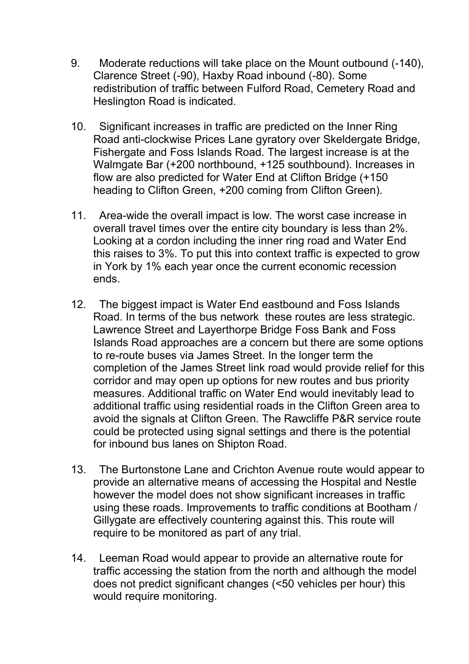- 9. Moderate reductions will take place on the Mount outbound (-140), Clarence Street (-90), Haxby Road inbound (-80). Some redistribution of traffic between Fulford Road, Cemetery Road and Heslington Road is indicated.
- 10. Significant increases in traffic are predicted on the Inner Ring Road anti-clockwise Prices Lane gyratory over Skeldergate Bridge, Fishergate and Foss Islands Road. The largest increase is at the Walmgate Bar (+200 northbound, +125 southbound). Increases in flow are also predicted for Water End at Clifton Bridge (+150 heading to Clifton Green, +200 coming from Clifton Green).
- 11. Area-wide the overall impact is low. The worst case increase in overall travel times over the entire city boundary is less than 2%. Looking at a cordon including the inner ring road and Water End this raises to 3%. To put this into context traffic is expected to grow in York by 1% each year once the current economic recession ends.
- 12. The biggest impact is Water End eastbound and Foss Islands Road. In terms of the bus network these routes are less strategic. Lawrence Street and Layerthorpe Bridge Foss Bank and Foss Islands Road approaches are a concern but there are some options to re-route buses via James Street. In the longer term the completion of the James Street link road would provide relief for this corridor and may open up options for new routes and bus priority measures. Additional traffic on Water End would inevitably lead to additional traffic using residential roads in the Clifton Green area to avoid the signals at Clifton Green. The Rawcliffe P&R service route could be protected using signal settings and there is the potential for inbound bus lanes on Shipton Road.
- 13. The Burtonstone Lane and Crichton Avenue route would appear to provide an alternative means of accessing the Hospital and Nestle however the model does not show significant increases in traffic using these roads. Improvements to traffic conditions at Bootham / Gillygate are effectively countering against this. This route will require to be monitored as part of any trial.
- 14. Leeman Road would appear to provide an alternative route for traffic accessing the station from the north and although the model does not predict significant changes (<50 vehicles per hour) this would require monitoring.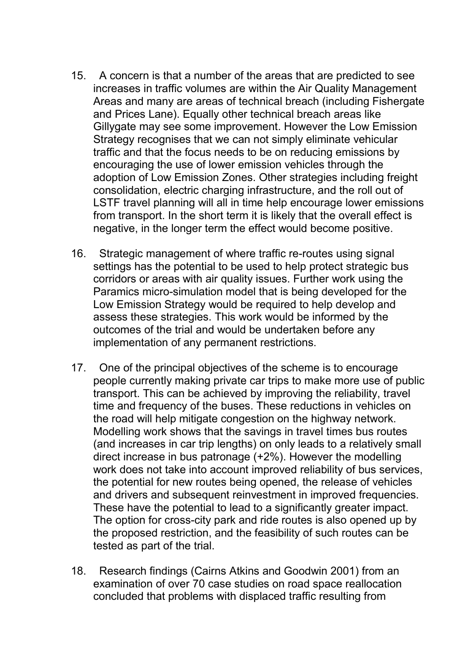- 15. A concern is that a number of the areas that are predicted to see increases in traffic volumes are within the Air Quality Management Areas and many are areas of technical breach (including Fishergate and Prices Lane). Equally other technical breach areas like Gillygate may see some improvement. However the Low Emission Strategy recognises that we can not simply eliminate vehicular traffic and that the focus needs to be on reducing emissions by encouraging the use of lower emission vehicles through the adoption of Low Emission Zones. Other strategies including freight consolidation, electric charging infrastructure, and the roll out of LSTF travel planning will all in time help encourage lower emissions from transport. In the short term it is likely that the overall effect is negative, in the longer term the effect would become positive.
- 16. Strategic management of where traffic re-routes using signal settings has the potential to be used to help protect strategic bus corridors or areas with air quality issues. Further work using the Paramics micro-simulation model that is being developed for the Low Emission Strategy would be required to help develop and assess these strategies. This work would be informed by the outcomes of the trial and would be undertaken before any implementation of any permanent restrictions.
- 17. One of the principal objectives of the scheme is to encourage people currently making private car trips to make more use of public transport. This can be achieved by improving the reliability, travel time and frequency of the buses. These reductions in vehicles on the road will help mitigate congestion on the highway network. Modelling work shows that the savings in travel times bus routes (and increases in car trip lengths) on only leads to a relatively small direct increase in bus patronage (+2%). However the modelling work does not take into account improved reliability of bus services, the potential for new routes being opened, the release of vehicles and drivers and subsequent reinvestment in improved frequencies. These have the potential to lead to a significantly greater impact. The option for cross-city park and ride routes is also opened up by the proposed restriction, and the feasibility of such routes can be tested as part of the trial.
- 18. Research findings (Cairns Atkins and Goodwin 2001) from an examination of over 70 case studies on road space reallocation concluded that problems with displaced traffic resulting from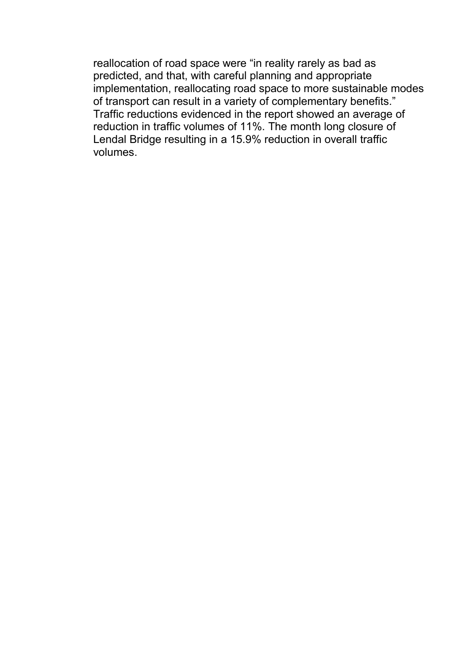reallocation of road space were "in reality rarely as bad as predicted, and that, with careful planning and appropriate implementation, reallocating road space to more sustainable modes of transport can result in a variety of complementary benefits." Traffic reductions evidenced in the report showed an average of reduction in traffic volumes of 11%. The month long closure of Lendal Bridge resulting in a 15.9% reduction in overall traffic volumes.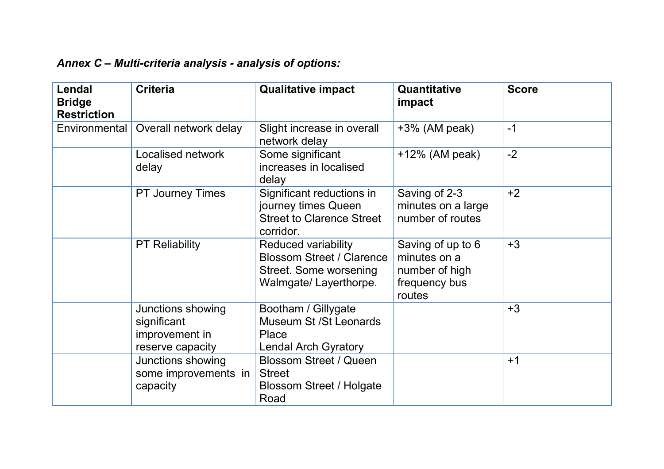| Annex C - Multi-criteria analysis - analysis of options: |  |  |
|----------------------------------------------------------|--|--|
|                                                          |  |  |

| <b>Lendal</b><br><b>Bridge</b><br><b>Restriction</b> | <b>Criteria</b>                                                        | <b>Qualitative impact</b>                                                                                  | Quantitative<br>impact                                                         | <b>Score</b> |
|------------------------------------------------------|------------------------------------------------------------------------|------------------------------------------------------------------------------------------------------------|--------------------------------------------------------------------------------|--------------|
| Environmental                                        | Overall network delay                                                  | Slight increase in overall<br>network delay                                                                | $+3\%$ (AM peak)                                                               | $-1$         |
|                                                      | Localised network<br>delay                                             | Some significant<br>increases in localised<br>delay                                                        | $+12\%$ (AM peak)                                                              | $-2$         |
|                                                      | <b>PT Journey Times</b>                                                | Significant reductions in<br>journey times Queen<br><b>Street to Clarence Street</b><br>corridor.          | Saving of 2-3<br>minutes on a large<br>number of routes                        | $+2$         |
|                                                      | <b>PT Reliability</b>                                                  | Reduced variability<br><b>Blossom Street / Clarence</b><br>Street. Some worsening<br>Walmgate/Layerthorpe. | Saving of up to 6<br>minutes on a<br>number of high<br>frequency bus<br>routes | $+3$         |
|                                                      | Junctions showing<br>significant<br>improvement in<br>reserve capacity | Bootham / Gillygate<br>Museum St / St Leonards<br>Place<br><b>Lendal Arch Gyratory</b>                     |                                                                                | $+3$         |
|                                                      | Junctions showing<br>some improvements in<br>capacity                  | <b>Blossom Street / Queen</b><br><b>Street</b><br>Blossom Street / Holgate<br>Road                         |                                                                                | $+1$         |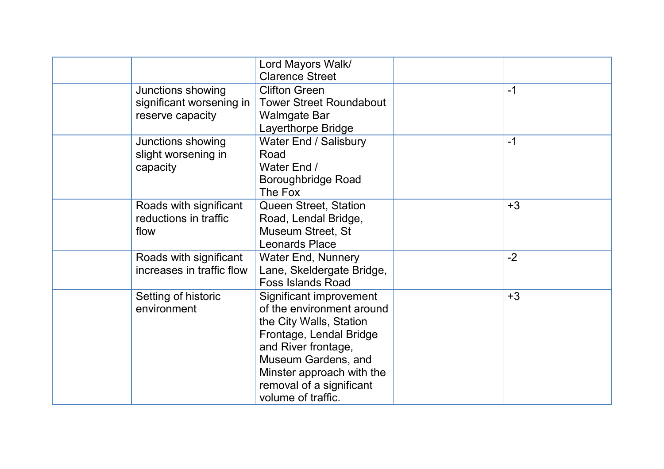|                                                                   | Lord Mayors Walk/<br><b>Clarence Street</b>                                                                                                                                                                                             |      |
|-------------------------------------------------------------------|-----------------------------------------------------------------------------------------------------------------------------------------------------------------------------------------------------------------------------------------|------|
| Junctions showing<br>significant worsening in<br>reserve capacity | <b>Clifton Green</b><br><b>Tower Street Roundabout</b><br><b>Walmgate Bar</b><br>Layerthorpe Bridge                                                                                                                                     | $-1$ |
| Junctions showing<br>slight worsening in<br>capacity              | Water End / Salisbury<br>Road<br>Water End /<br>Boroughbridge Road<br>The Fox                                                                                                                                                           | $-1$ |
| Roads with significant<br>reductions in traffic<br>flow           | Queen Street, Station<br>Road, Lendal Bridge,<br><b>Museum Street, St</b><br><b>Leonards Place</b>                                                                                                                                      | $+3$ |
| Roads with significant<br>increases in traffic flow               | <b>Water End, Nunnery</b><br>Lane, Skeldergate Bridge,<br><b>Foss Islands Road</b>                                                                                                                                                      | $-2$ |
| Setting of historic<br>environment                                | Significant improvement<br>of the environment around<br>the City Walls, Station<br>Frontage, Lendal Bridge<br>and River frontage,<br>Museum Gardens, and<br>Minster approach with the<br>removal of a significant<br>volume of traffic. | $+3$ |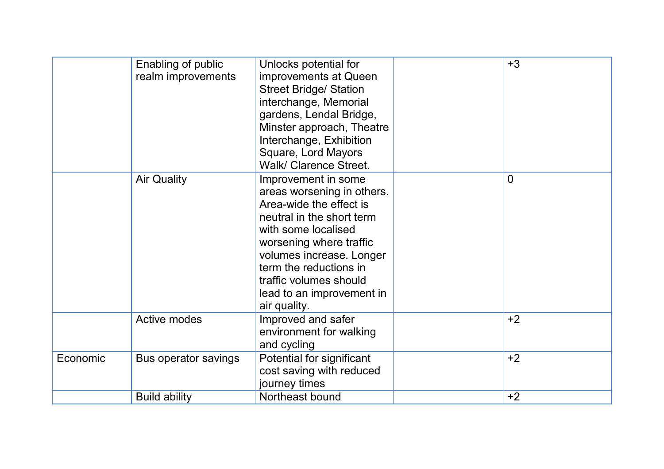|          | Enabling of public<br>realm improvements | Unlocks potential for<br>improvements at Queen<br><b>Street Bridge/ Station</b><br>interchange, Memorial<br>gardens, Lendal Bridge,<br>Minster approach, Theatre<br>Interchange, Exhibition<br>Square, Lord Mayors<br>Walk/ Clarence Street.                                             | $+3$           |
|----------|------------------------------------------|------------------------------------------------------------------------------------------------------------------------------------------------------------------------------------------------------------------------------------------------------------------------------------------|----------------|
|          | <b>Air Quality</b>                       | Improvement in some<br>areas worsening in others.<br>Area-wide the effect is<br>neutral in the short term<br>with some localised<br>worsening where traffic<br>volumes increase. Longer<br>term the reductions in<br>traffic volumes should<br>lead to an improvement in<br>air quality. | $\overline{0}$ |
|          | <b>Active modes</b>                      | Improved and safer<br>environment for walking<br>and cycling                                                                                                                                                                                                                             | $+2$           |
| Economic | Bus operator savings                     | Potential for significant<br>cost saving with reduced<br>journey times                                                                                                                                                                                                                   | $+2$           |
|          | <b>Build ability</b>                     | Northeast bound                                                                                                                                                                                                                                                                          | $+2$           |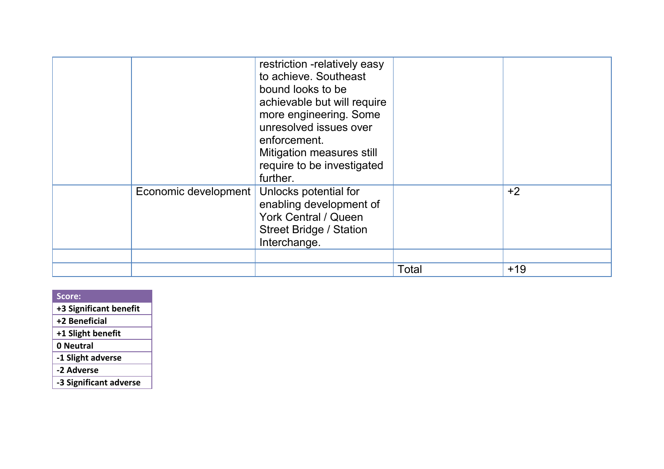|                      | restriction -relatively easy<br>to achieve. Southeast<br>bound looks to be<br>achievable but will require<br>more engineering. Some<br>unresolved issues over<br>enforcement.<br>Mitigation measures still<br>require to be investigated<br>further. |       |       |
|----------------------|------------------------------------------------------------------------------------------------------------------------------------------------------------------------------------------------------------------------------------------------------|-------|-------|
| Economic development | Unlocks potential for<br>enabling development of<br><b>York Central / Queen</b><br>Street Bridge / Station<br>Interchange.                                                                                                                           |       | $+2$  |
|                      |                                                                                                                                                                                                                                                      |       |       |
|                      |                                                                                                                                                                                                                                                      | Total | $+19$ |

| Score:                 |
|------------------------|
| +3 Significant benefit |
| +2 Beneficial          |
| +1 Slight benefit      |
| 0 Neutral              |
| -1 Slight adverse      |
| -2 Adverse             |
| -3 Significant adverse |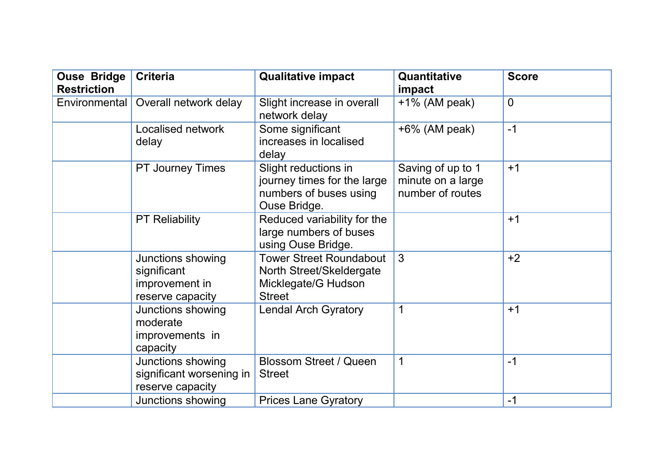| <b>Ouse Bridge</b><br><b>Restriction</b> | <b>Criteria</b>                                                        | <b>Qualitative impact</b>                                                                          | Quantitative<br>impact                                     | <b>Score</b>   |
|------------------------------------------|------------------------------------------------------------------------|----------------------------------------------------------------------------------------------------|------------------------------------------------------------|----------------|
| Environmental                            | Overall network delay                                                  | Slight increase in overall<br>network delay                                                        | $+1\%$ (AM peak)                                           | $\overline{0}$ |
|                                          | Localised network<br>delay                                             | Some significant<br>increases in localised<br>delay                                                | $+6\%$ (AM peak)                                           | $-1$           |
|                                          | <b>PT Journey Times</b>                                                | Slight reductions in<br>journey times for the large<br>numbers of buses using<br>Ouse Bridge.      | Saving of up to 1<br>minute on a large<br>number of routes | $+1$           |
|                                          | <b>PT Reliability</b>                                                  | Reduced variability for the<br>large numbers of buses<br>using Ouse Bridge.                        |                                                            | $+1$           |
|                                          | Junctions showing<br>significant<br>improvement in<br>reserve capacity | <b>Tower Street Roundabout</b><br>North Street/Skeldergate<br>Micklegate/G Hudson<br><b>Street</b> | 3                                                          | $+2$           |
|                                          | Junctions showing<br>moderate<br>improvements in<br>capacity           | <b>Lendal Arch Gyratory</b>                                                                        | 1                                                          | $+1$           |
|                                          | Junctions showing<br>significant worsening in<br>reserve capacity      | <b>Blossom Street / Queen</b><br><b>Street</b>                                                     | 1                                                          | $-1$           |
|                                          | Junctions showing                                                      | <b>Prices Lane Gyratory</b>                                                                        |                                                            | $-1$           |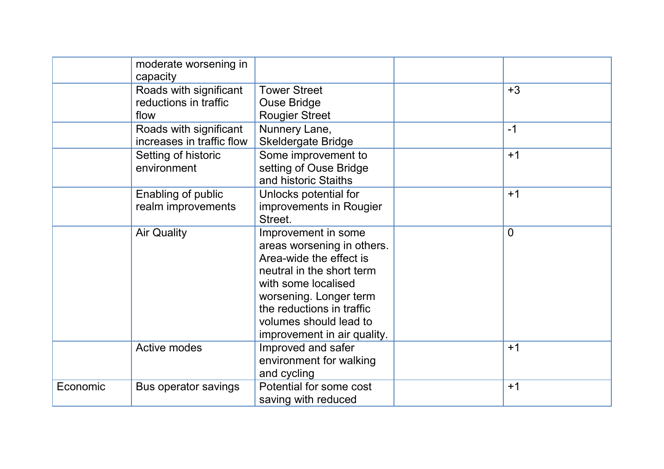|          | moderate worsening in<br>capacity                       |                                                                                                                                                                                                                                                  |                |
|----------|---------------------------------------------------------|--------------------------------------------------------------------------------------------------------------------------------------------------------------------------------------------------------------------------------------------------|----------------|
|          | Roads with significant<br>reductions in traffic<br>flow | <b>Tower Street</b><br><b>Ouse Bridge</b><br><b>Rougier Street</b>                                                                                                                                                                               | $+3$           |
|          | Roads with significant<br>increases in traffic flow     | Nunnery Lane,<br><b>Skeldergate Bridge</b>                                                                                                                                                                                                       | $-1$           |
|          | Setting of historic<br>environment                      | Some improvement to<br>setting of Ouse Bridge<br>and historic Staiths                                                                                                                                                                            | $+1$           |
|          | Enabling of public<br>realm improvements                | Unlocks potential for<br>improvements in Rougier<br>Street.                                                                                                                                                                                      | $+1$           |
|          | <b>Air Quality</b>                                      | Improvement in some<br>areas worsening in others.<br>Area-wide the effect is<br>neutral in the short term<br>with some localised<br>worsening. Longer term<br>the reductions in traffic<br>volumes should lead to<br>improvement in air quality. | $\overline{0}$ |
|          | <b>Active modes</b>                                     | Improved and safer<br>environment for walking<br>and cycling                                                                                                                                                                                     | $+1$           |
| Economic | Bus operator savings                                    | Potential for some cost<br>saving with reduced                                                                                                                                                                                                   | $+1$           |